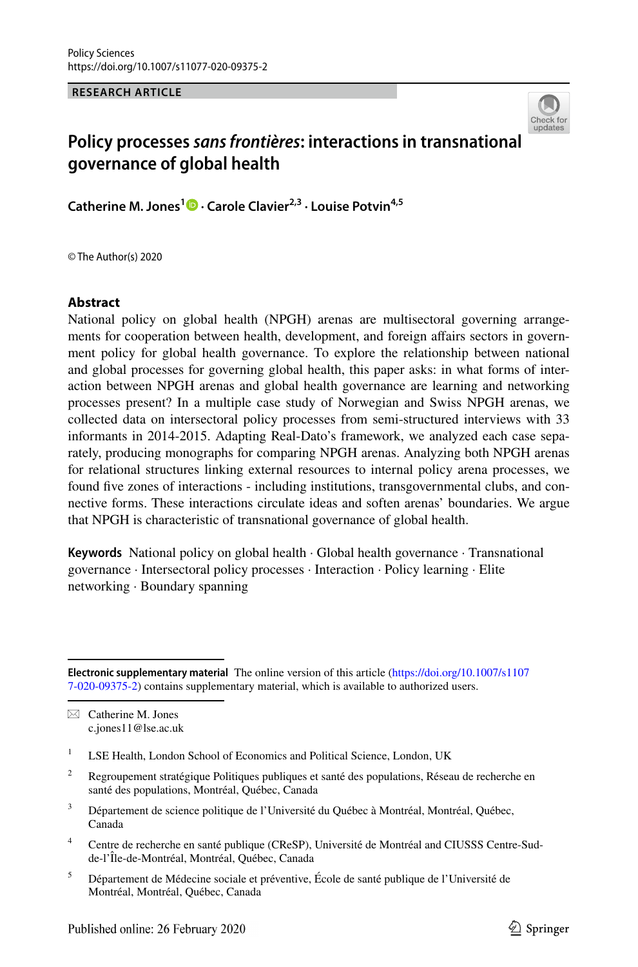**RESEARCH ARTICLE**



# **Policy processes** *sans frontières***: interactions in transnational governance of global health**

**Catherine M. Jones<sup>1</sup> • Carole Clavier<sup>2,3</sup> [·](http://orcid.org/0000-0002-9431-9121) Louise Potvin<sup>4,5</sup>** 

© The Author(s) 2020

### **Abstract**

National policy on global health (NPGH) arenas are multisectoral governing arrangements for cooperation between health, development, and foreign affairs sectors in government policy for global health governance. To explore the relationship between national and global processes for governing global health, this paper asks: in what forms of interaction between NPGH arenas and global health governance are learning and networking processes present? In a multiple case study of Norwegian and Swiss NPGH arenas, we collected data on intersectoral policy processes from semi-structured interviews with 33 informants in 2014-2015. Adapting Real-Dato's framework, we analyzed each case separately, producing monographs for comparing NPGH arenas. Analyzing both NPGH arenas for relational structures linking external resources to internal policy arena processes, we found fve zones of interactions - including institutions, transgovernmental clubs, and connective forms. These interactions circulate ideas and soften arenas' boundaries. We argue that NPGH is characteristic of transnational governance of global health.

**Keywords** National policy on global health · Global health governance · Transnational governance · Intersectoral policy processes · Interaction · Policy learning · Elite networking · Boundary spanning

 $\boxtimes$  Catherine M. Jones c.jones11@lse.ac.uk

- <sup>2</sup> Regroupement stratégique Politiques publiques et santé des populations, Réseau de recherche en santé des populations, Montréal, Québec, Canada
- <sup>3</sup> Département de science politique de l'Université du Québec à Montréal, Montréal, Québec, Canada
- <sup>4</sup> Centre de recherche en santé publique (CReSP), Université de Montréal and CIUSSS Centre-Sudde-l'Île-de-Montréal, Montréal, Québec, Canada
- <sup>5</sup> Département de Médecine sociale et préventive, École de santé publique de l'Université de Montréal, Montréal, Québec, Canada

**Electronic supplementary material** The online version of this article [\(https://doi.org/10.1007/s1107](https://doi.org/10.1007/s11077-020-09375-2) [7-020-09375-2\)](https://doi.org/10.1007/s11077-020-09375-2) contains supplementary material, which is available to authorized users.

<sup>&</sup>lt;sup>1</sup> LSE Health, London School of Economics and Political Science, London, UK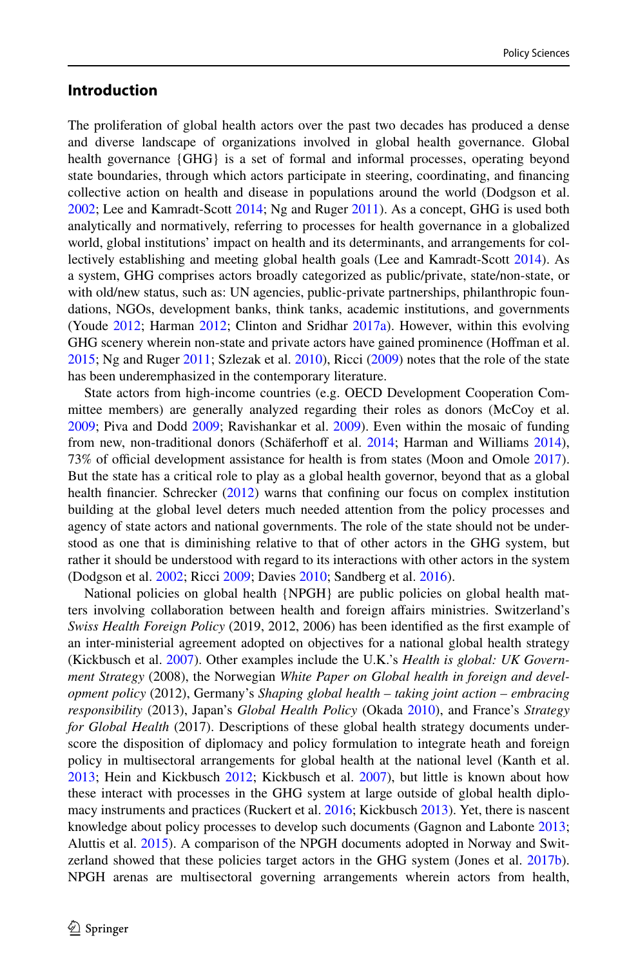## **Introduction**

The proliferation of global health actors over the past two decades has produced a dense and diverse landscape of organizations involved in global health governance. Global health governance {GHG} is a set of formal and informal processes, operating beyond state boundaries, through which actors participate in steering, coordinating, and fnancing collective action on health and disease in populations around the world (Dodgson et al. [2002;](#page-16-0) Lee and Kamradt-Scott [2014](#page-17-0); Ng and Ruger [2011](#page-17-1)). As a concept, GHG is used both analytically and normatively, referring to processes for health governance in a globalized world, global institutions' impact on health and its determinants, and arrangements for collectively establishing and meeting global health goals (Lee and Kamradt-Scott [2014](#page-17-0)). As a system, GHG comprises actors broadly categorized as public/private, state/non-state, or with old/new status, such as: UN agencies, public-private partnerships, philanthropic foundations, NGOs, development banks, think tanks, academic institutions, and governments (Youde [2012](#page-19-0); Harman [2012](#page-16-1); Clinton and Sridhar [2017a](#page-16-2)). However, within this evolving GHG scenery wherein non-state and private actors have gained prominence (Hofman et al. [2015;](#page-16-3) Ng and Ruger [2011](#page-17-1); Szlezak et al. [2010](#page-18-0)), Ricci ([2009\)](#page-18-1) notes that the role of the state has been underemphasized in the contemporary literature.

State actors from high-income countries (e.g. OECD Development Cooperation Committee members) are generally analyzed regarding their roles as donors (McCoy et al. [2009;](#page-17-2) Piva and Dodd [2009](#page-18-2); Ravishankar et al. [2009\)](#page-18-3). Even within the mosaic of funding from new, non-traditional donors (Schäferhoff et al. [2014;](#page-18-4) Harman and Williams [2014](#page-16-4)), 73% of official development assistance for health is from states (Moon and Omole [2017](#page-17-3)). But the state has a critical role to play as a global health governor, beyond that as a global health financier. Schrecker [\(2012](#page-18-5)) warns that confining our focus on complex institution building at the global level deters much needed attention from the policy processes and agency of state actors and national governments. The role of the state should not be understood as one that is diminishing relative to that of other actors in the GHG system, but rather it should be understood with regard to its interactions with other actors in the system (Dodgson et al. [2002](#page-16-0); Ricci [2009;](#page-18-1) Davies [2010](#page-16-5); Sandberg et al. [2016](#page-18-6)).

National policies on global health {NPGH} are public policies on global health matters involving collaboration between health and foreign afairs ministries. Switzerland's *Swiss Health Foreign Policy* (2019, 2012, 2006) has been identifed as the frst example of an inter-ministerial agreement adopted on objectives for a national global health strategy (Kickbusch et al. [2007\)](#page-17-4). Other examples include the U.K.'s *Health is global: UK Government Strategy* (2008), the Norwegian *White Paper on Global health in foreign and development policy* (2012), Germany's *Shaping global health – taking joint action – embracing responsibility* (2013), Japan's *Global Health Policy* (Okada [2010\)](#page-17-5), and France's *Strategy for Global Health* (2017). Descriptions of these global health strategy documents underscore the disposition of diplomacy and policy formulation to integrate heath and foreign policy in multisectoral arrangements for global health at the national level (Kanth et al. [2013;](#page-17-6) Hein and Kickbusch [2012](#page-16-6); Kickbusch et al. [2007\)](#page-17-4), but little is known about how these interact with processes in the GHG system at large outside of global health diplomacy instruments and practices (Ruckert et al. [2016;](#page-18-7) Kickbusch [2013](#page-17-7)). Yet, there is nascent knowledge about policy processes to develop such documents (Gagnon and Labonte [2013;](#page-16-7) Aluttis et al. [2015](#page-15-0)). A comparison of the NPGH documents adopted in Norway and Swit-zerland showed that these policies target actors in the GHG system (Jones et al. [2017b](#page-17-8)). NPGH arenas are multisectoral governing arrangements wherein actors from health,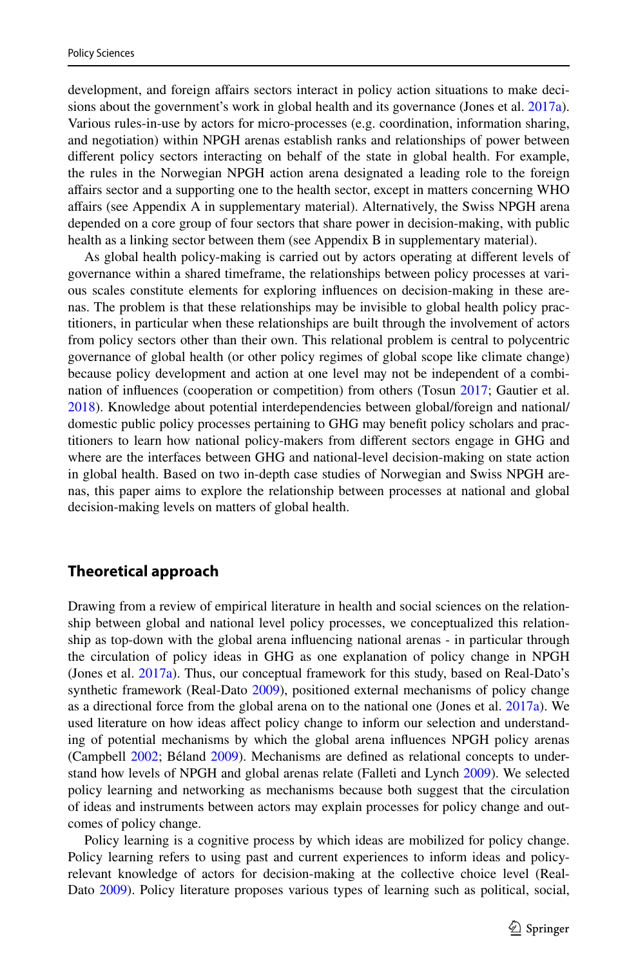development, and foreign afairs sectors interact in policy action situations to make decisions about the government's work in global health and its governance (Jones et al. [2017a](#page-17-9)). Various rules-in-use by actors for micro-processes (e.g. coordination, information sharing, and negotiation) within NPGH arenas establish ranks and relationships of power between diferent policy sectors interacting on behalf of the state in global health. For example, the rules in the Norwegian NPGH action arena designated a leading role to the foreign afairs sector and a supporting one to the health sector, except in matters concerning WHO afairs (see Appendix A in supplementary material). Alternatively, the Swiss NPGH arena depended on a core group of four sectors that share power in decision-making, with public health as a linking sector between them (see Appendix B in supplementary material).

As global health policy-making is carried out by actors operating at diferent levels of governance within a shared timeframe, the relationships between policy processes at various scales constitute elements for exploring infuences on decision-making in these arenas. The problem is that these relationships may be invisible to global health policy practitioners, in particular when these relationships are built through the involvement of actors from policy sectors other than their own. This relational problem is central to polycentric governance of global health (or other policy regimes of global scope like climate change) because policy development and action at one level may not be independent of a combination of infuences (cooperation or competition) from others (Tosun [2017](#page-18-8); Gautier et al. [2018\)](#page-16-8). Knowledge about potential interdependencies between global/foreign and national/ domestic public policy processes pertaining to GHG may beneft policy scholars and practitioners to learn how national policy-makers from diferent sectors engage in GHG and where are the interfaces between GHG and national-level decision-making on state action in global health. Based on two in-depth case studies of Norwegian and Swiss NPGH arenas, this paper aims to explore the relationship between processes at national and global decision-making levels on matters of global health.

## **Theoretical approach**

Drawing from a review of empirical literature in health and social sciences on the relationship between global and national level policy processes, we conceptualized this relationship as top-down with the global arena infuencing national arenas - in particular through the circulation of policy ideas in GHG as one explanation of policy change in NPGH (Jones et al. [2017a\)](#page-17-9). Thus, our conceptual framework for this study, based on Real-Dato's synthetic framework (Real-Dato [2009\)](#page-18-9), positioned external mechanisms of policy change as a directional force from the global arena on to the national one (Jones et al. [2017a\)](#page-17-9). We used literature on how ideas afect policy change to inform our selection and understanding of potential mechanisms by which the global arena infuences NPGH policy arenas (Campbell [2002](#page-15-1); Béland [2009](#page-15-2)). Mechanisms are defned as relational concepts to understand how levels of NPGH and global arenas relate (Falleti and Lynch [2009](#page-16-9)). We selected policy learning and networking as mechanisms because both suggest that the circulation of ideas and instruments between actors may explain processes for policy change and outcomes of policy change.

Policy learning is a cognitive process by which ideas are mobilized for policy change. Policy learning refers to using past and current experiences to inform ideas and policyrelevant knowledge of actors for decision-making at the collective choice level (Real-Dato [2009\)](#page-18-9). Policy literature proposes various types of learning such as political, social,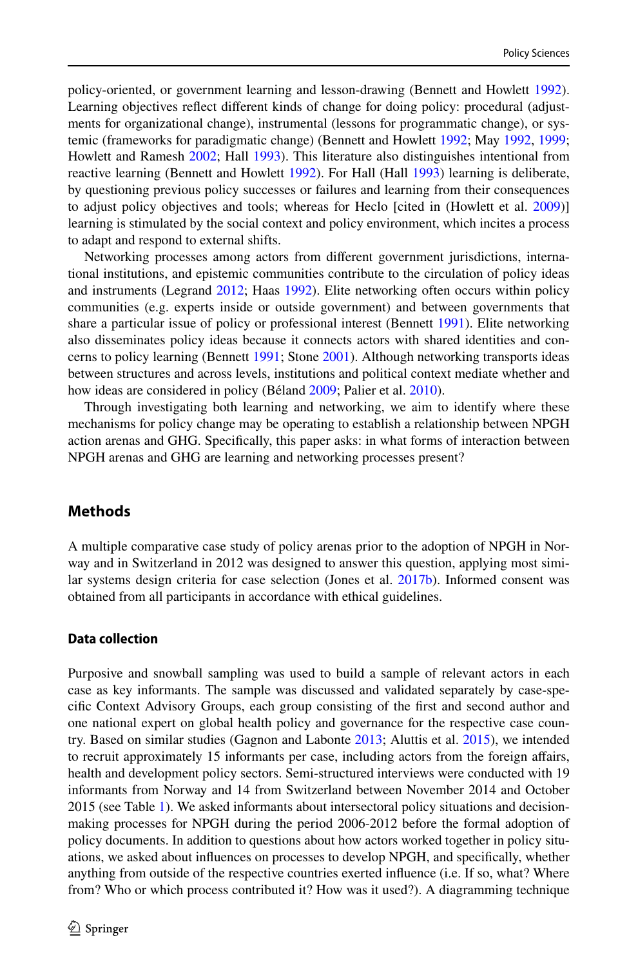policy-oriented, or government learning and lesson-drawing (Bennett and Howlett [1992](#page-15-3)). Learning objectives refect diferent kinds of change for doing policy: procedural (adjustments for organizational change), instrumental (lessons for programmatic change), or systemic (frameworks for paradigmatic change) (Bennett and Howlett [1992](#page-15-3); May [1992](#page-17-10), [1999;](#page-17-11) Howlett and Ramesh [2002](#page-17-12); Hall [1993\)](#page-16-10). This literature also distinguishes intentional from reactive learning (Bennett and Howlett [1992\)](#page-15-3). For Hall (Hall [1993](#page-16-10)) learning is deliberate, by questioning previous policy successes or failures and learning from their consequences to adjust policy objectives and tools; whereas for Heclo [cited in (Howlett et al. [2009](#page-17-13))] learning is stimulated by the social context and policy environment, which incites a process to adapt and respond to external shifts.

Networking processes among actors from diferent government jurisdictions, international institutions, and epistemic communities contribute to the circulation of policy ideas and instruments (Legrand [2012](#page-17-14); Haas [1992](#page-16-11)). Elite networking often occurs within policy communities (e.g. experts inside or outside government) and between governments that share a particular issue of policy or professional interest (Bennett [1991](#page-15-4)). Elite networking also disseminates policy ideas because it connects actors with shared identities and concerns to policy learning (Bennett [1991](#page-15-4); Stone [2001](#page-18-10)). Although networking transports ideas between structures and across levels, institutions and political context mediate whether and how ideas are considered in policy (Béland [2009;](#page-15-2) Palier et al. [2010](#page-18-11)).

Through investigating both learning and networking, we aim to identify where these mechanisms for policy change may be operating to establish a relationship between NPGH action arenas and GHG. Specifcally, this paper asks: in what forms of interaction between NPGH arenas and GHG are learning and networking processes present?

## **Methods**

A multiple comparative case study of policy arenas prior to the adoption of NPGH in Norway and in Switzerland in 2012 was designed to answer this question, applying most similar systems design criteria for case selection (Jones et al. [2017b\)](#page-17-8). Informed consent was obtained from all participants in accordance with ethical guidelines.

#### **Data collection**

Purposive and snowball sampling was used to build a sample of relevant actors in each case as key informants. The sample was discussed and validated separately by case-specifc Context Advisory Groups, each group consisting of the frst and second author and one national expert on global health policy and governance for the respective case country. Based on similar studies (Gagnon and Labonte [2013;](#page-16-7) Aluttis et al. [2015\)](#page-15-0), we intended to recruit approximately 15 informants per case, including actors from the foreign afairs, health and development policy sectors. Semi-structured interviews were conducted with 19 informants from Norway and 14 from Switzerland between November 2014 and October 2015 (see Table [1](#page-4-0)). We asked informants about intersectoral policy situations and decisionmaking processes for NPGH during the period 2006-2012 before the formal adoption of policy documents. In addition to questions about how actors worked together in policy situations, we asked about infuences on processes to develop NPGH, and specifcally, whether anything from outside of the respective countries exerted infuence (i.e. If so, what? Where from? Who or which process contributed it? How was it used?). A diagramming technique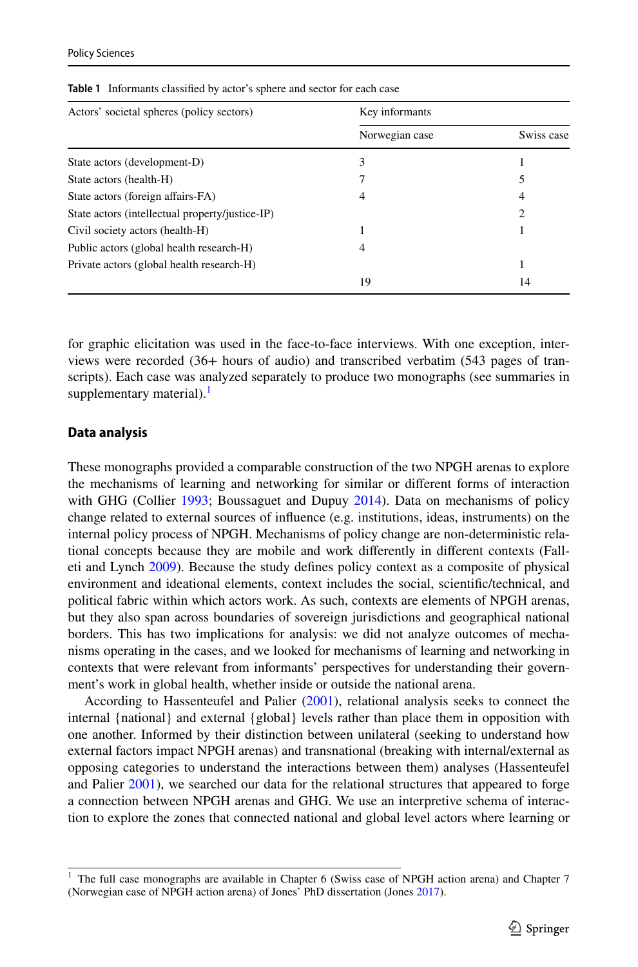| Actors' societal spheres (policy sectors)       | Key informants |            |  |
|-------------------------------------------------|----------------|------------|--|
|                                                 | Norwegian case | Swiss case |  |
| State actors (development-D)                    | 3              |            |  |
| State actors (health-H)                         |                |            |  |
| State actors (foreign affairs-FA)               | 4              |            |  |
| State actors (intellectual property/justice-IP) |                | 2          |  |
| Civil society actors (health-H)                 |                |            |  |
| Public actors (global health research-H)        | 4              |            |  |
| Private actors (global health research-H)       |                |            |  |
|                                                 | 19             | 14         |  |

<span id="page-4-0"></span>**Table 1** Informants classifed by actor's sphere and sector for each case

for graphic elicitation was used in the face-to-face interviews. With one exception, interviews were recorded (36+ hours of audio) and transcribed verbatim (543 pages of transcripts). Each case was analyzed separately to produce two monographs (see summaries in supplementary material). $<sup>1</sup>$ </sup>

#### **Data analysis**

These monographs provided a comparable construction of the two NPGH arenas to explore the mechanisms of learning and networking for similar or diferent forms of interaction with GHG (Collier [1993;](#page-16-12) Boussaguet and Dupuy [2014](#page-15-5)). Data on mechanisms of policy change related to external sources of infuence (e.g. institutions, ideas, instruments) on the internal policy process of NPGH. Mechanisms of policy change are non-deterministic relational concepts because they are mobile and work diferently in diferent contexts (Falleti and Lynch [2009\)](#page-16-9). Because the study defnes policy context as a composite of physical environment and ideational elements, context includes the social, scientifc/technical, and political fabric within which actors work. As such, contexts are elements of NPGH arenas, but they also span across boundaries of sovereign jurisdictions and geographical national borders. This has two implications for analysis: we did not analyze outcomes of mechanisms operating in the cases, and we looked for mechanisms of learning and networking in contexts that were relevant from informants' perspectives for understanding their government's work in global health, whether inside or outside the national arena.

According to Hassenteufel and Palier [\(2001](#page-16-13)), relational analysis seeks to connect the internal {national} and external {global} levels rather than place them in opposition with one another. Informed by their distinction between unilateral (seeking to understand how external factors impact NPGH arenas) and transnational (breaking with internal/external as opposing categories to understand the interactions between them) analyses (Hassenteufel and Palier [2001\)](#page-16-13), we searched our data for the relational structures that appeared to forge a connection between NPGH arenas and GHG. We use an interpretive schema of interaction to explore the zones that connected national and global level actors where learning or

<span id="page-4-1"></span><sup>1</sup> The full case monographs are available in Chapter 6 (Swiss case of NPGH action arena) and Chapter 7 (Norwegian case of NPGH action arena) of Jones' PhD dissertation (Jones [2017](#page-17-15)).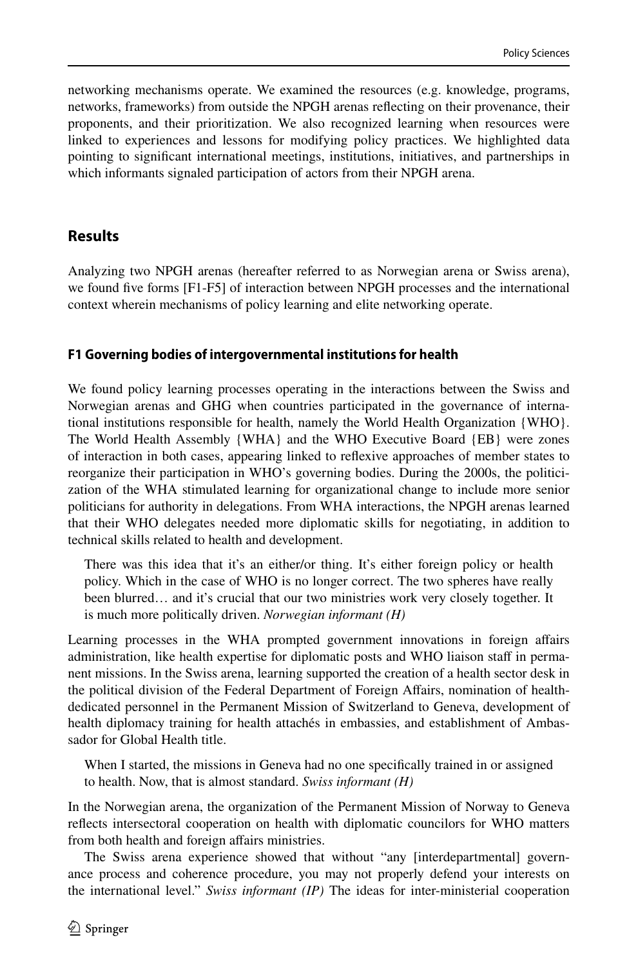networking mechanisms operate. We examined the resources (e.g. knowledge, programs, networks, frameworks) from outside the NPGH arenas refecting on their provenance, their proponents, and their prioritization. We also recognized learning when resources were linked to experiences and lessons for modifying policy practices. We highlighted data pointing to signifcant international meetings, institutions, initiatives, and partnerships in which informants signaled participation of actors from their NPGH arena.

## **Results**

Analyzing two NPGH arenas (hereafter referred to as Norwegian arena or Swiss arena), we found fve forms [F1-F5] of interaction between NPGH processes and the international context wherein mechanisms of policy learning and elite networking operate.

### **F1 Governing bodies of intergovernmental institutions for health**

We found policy learning processes operating in the interactions between the Swiss and Norwegian arenas and GHG when countries participated in the governance of international institutions responsible for health, namely the World Health Organization {WHO}. The World Health Assembly {WHA} and the WHO Executive Board {EB} were zones of interaction in both cases, appearing linked to refexive approaches of member states to reorganize their participation in WHO's governing bodies. During the 2000s, the politicization of the WHA stimulated learning for organizational change to include more senior politicians for authority in delegations. From WHA interactions, the NPGH arenas learned that their WHO delegates needed more diplomatic skills for negotiating, in addition to technical skills related to health and development.

There was this idea that it's an either/or thing. It's either foreign policy or health policy. Which in the case of WHO is no longer correct. The two spheres have really been blurred… and it's crucial that our two ministries work very closely together. It is much more politically driven. *Norwegian informant (H)*

Learning processes in the WHA prompted government innovations in foreign afairs administration, like health expertise for diplomatic posts and WHO liaison staff in permanent missions. In the Swiss arena, learning supported the creation of a health sector desk in the political division of the Federal Department of Foreign Afairs, nomination of healthdedicated personnel in the Permanent Mission of Switzerland to Geneva, development of health diplomacy training for health attachés in embassies, and establishment of Ambassador for Global Health title.

When I started, the missions in Geneva had no one specifcally trained in or assigned to health. Now, that is almost standard. *Swiss informant (H)*

In the Norwegian arena, the organization of the Permanent Mission of Norway to Geneva refects intersectoral cooperation on health with diplomatic councilors for WHO matters from both health and foreign affairs ministries.

The Swiss arena experience showed that without "any [interdepartmental] governance process and coherence procedure, you may not properly defend your interests on the international level." *Swiss informant (IP)* The ideas for inter-ministerial cooperation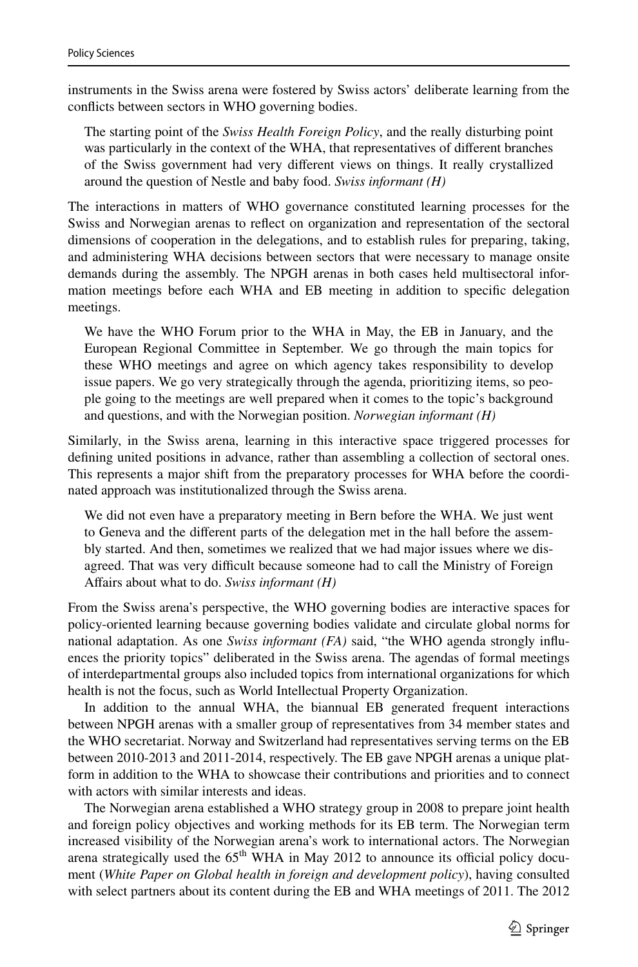instruments in the Swiss arena were fostered by Swiss actors' deliberate learning from the conficts between sectors in WHO governing bodies.

The starting point of the *Swiss Health Foreign Policy*, and the really disturbing point was particularly in the context of the WHA, that representatives of diferent branches of the Swiss government had very diferent views on things. It really crystallized around the question of Nestle and baby food. *Swiss informant (H)*

The interactions in matters of WHO governance constituted learning processes for the Swiss and Norwegian arenas to refect on organization and representation of the sectoral dimensions of cooperation in the delegations, and to establish rules for preparing, taking, and administering WHA decisions between sectors that were necessary to manage onsite demands during the assembly. The NPGH arenas in both cases held multisectoral information meetings before each WHA and EB meeting in addition to specifc delegation meetings.

We have the WHO Forum prior to the WHA in May, the EB in January, and the European Regional Committee in September. We go through the main topics for these WHO meetings and agree on which agency takes responsibility to develop issue papers. We go very strategically through the agenda, prioritizing items, so people going to the meetings are well prepared when it comes to the topic's background and questions, and with the Norwegian position. *Norwegian informant (H)*

Similarly, in the Swiss arena, learning in this interactive space triggered processes for defning united positions in advance, rather than assembling a collection of sectoral ones. This represents a major shift from the preparatory processes for WHA before the coordinated approach was institutionalized through the Swiss arena.

We did not even have a preparatory meeting in Bern before the WHA. We just went to Geneva and the diferent parts of the delegation met in the hall before the assembly started. And then, sometimes we realized that we had major issues where we disagreed. That was very difficult because someone had to call the Ministry of Foreign Afairs about what to do. *Swiss informant (H)*

From the Swiss arena's perspective, the WHO governing bodies are interactive spaces for policy-oriented learning because governing bodies validate and circulate global norms for national adaptation. As one *Swiss informant (FA)* said, "the WHO agenda strongly infuences the priority topics" deliberated in the Swiss arena. The agendas of formal meetings of interdepartmental groups also included topics from international organizations for which health is not the focus, such as World Intellectual Property Organization.

In addition to the annual WHA, the biannual EB generated frequent interactions between NPGH arenas with a smaller group of representatives from 34 member states and the WHO secretariat. Norway and Switzerland had representatives serving terms on the EB between 2010-2013 and 2011-2014, respectively. The EB gave NPGH arenas a unique platform in addition to the WHA to showcase their contributions and priorities and to connect with actors with similar interests and ideas.

The Norwegian arena established a WHO strategy group in 2008 to prepare joint health and foreign policy objectives and working methods for its EB term. The Norwegian term increased visibility of the Norwegian arena's work to international actors. The Norwegian arena strategically used the  $65<sup>th</sup>$  WHA in May 2012 to announce its official policy document (*White Paper on Global health in foreign and development policy*), having consulted with select partners about its content during the EB and WHA meetings of 2011. The 2012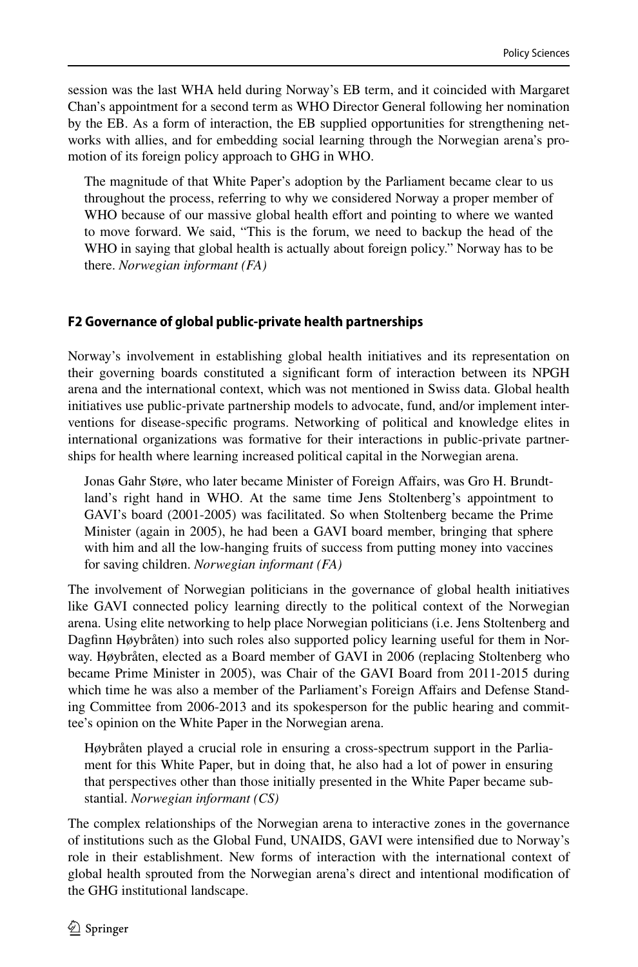session was the last WHA held during Norway's EB term, and it coincided with Margaret Chan's appointment for a second term as WHO Director General following her nomination by the EB. As a form of interaction, the EB supplied opportunities for strengthening networks with allies, and for embedding social learning through the Norwegian arena's promotion of its foreign policy approach to GHG in WHO.

The magnitude of that White Paper's adoption by the Parliament became clear to us throughout the process, referring to why we considered Norway a proper member of WHO because of our massive global health effort and pointing to where we wanted to move forward. We said, "This is the forum, we need to backup the head of the WHO in saying that global health is actually about foreign policy." Norway has to be there. *Norwegian informant (FA)*

## **F2 Governance of global public‑private health partnerships**

Norway's involvement in establishing global health initiatives and its representation on their governing boards constituted a signifcant form of interaction between its NPGH arena and the international context, which was not mentioned in Swiss data. Global health initiatives use public-private partnership models to advocate, fund, and/or implement interventions for disease-specifc programs. Networking of political and knowledge elites in international organizations was formative for their interactions in public-private partnerships for health where learning increased political capital in the Norwegian arena.

Jonas Gahr Støre, who later became Minister of Foreign Afairs, was Gro H. Brundtland's right hand in WHO. At the same time Jens Stoltenberg's appointment to GAVI's board (2001-2005) was facilitated. So when Stoltenberg became the Prime Minister (again in 2005), he had been a GAVI board member, bringing that sphere with him and all the low-hanging fruits of success from putting money into vaccines for saving children. *Norwegian informant (FA)*

The involvement of Norwegian politicians in the governance of global health initiatives like GAVI connected policy learning directly to the political context of the Norwegian arena. Using elite networking to help place Norwegian politicians (i.e. Jens Stoltenberg and Dagfnn Høybråten) into such roles also supported policy learning useful for them in Norway. Høybråten, elected as a Board member of GAVI in 2006 (replacing Stoltenberg who became Prime Minister in 2005), was Chair of the GAVI Board from 2011-2015 during which time he was also a member of the Parliament's Foreign Afairs and Defense Standing Committee from 2006-2013 and its spokesperson for the public hearing and committee's opinion on the White Paper in the Norwegian arena.

Høybråten played a crucial role in ensuring a cross-spectrum support in the Parliament for this White Paper, but in doing that, he also had a lot of power in ensuring that perspectives other than those initially presented in the White Paper became substantial. *Norwegian informant (CS)*

The complex relationships of the Norwegian arena to interactive zones in the governance of institutions such as the Global Fund, UNAIDS, GAVI were intensifed due to Norway's role in their establishment. New forms of interaction with the international context of global health sprouted from the Norwegian arena's direct and intentional modifcation of the GHG institutional landscape.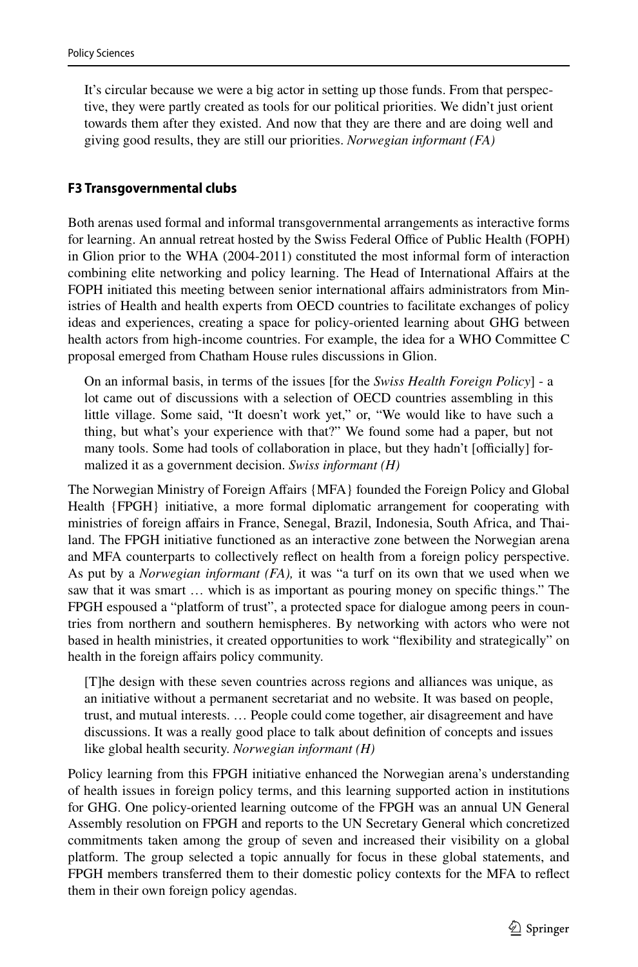It's circular because we were a big actor in setting up those funds. From that perspective, they were partly created as tools for our political priorities. We didn't just orient towards them after they existed. And now that they are there and are doing well and giving good results, they are still our priorities. *Norwegian informant (FA)*

#### **F3 Transgovernmental clubs**

Both arenas used formal and informal transgovernmental arrangements as interactive forms for learning. An annual retreat hosted by the Swiss Federal Office of Public Health (FOPH) in Glion prior to the WHA (2004-2011) constituted the most informal form of interaction combining elite networking and policy learning. The Head of International Afairs at the FOPH initiated this meeting between senior international afairs administrators from Ministries of Health and health experts from OECD countries to facilitate exchanges of policy ideas and experiences, creating a space for policy-oriented learning about GHG between health actors from high-income countries. For example, the idea for a WHO Committee C proposal emerged from Chatham House rules discussions in Glion.

On an informal basis, in terms of the issues [for the *Swiss Health Foreign Policy*] - a lot came out of discussions with a selection of OECD countries assembling in this little village. Some said, "It doesn't work yet," or, "We would like to have such a thing, but what's your experience with that?" We found some had a paper, but not many tools. Some had tools of collaboration in place, but they hadn't [officially] formalized it as a government decision. *Swiss informant (H)*

The Norwegian Ministry of Foreign Afairs {MFA} founded the Foreign Policy and Global Health {FPGH} initiative, a more formal diplomatic arrangement for cooperating with ministries of foreign afairs in France, Senegal, Brazil, Indonesia, South Africa, and Thailand. The FPGH initiative functioned as an interactive zone between the Norwegian arena and MFA counterparts to collectively refect on health from a foreign policy perspective. As put by a *Norwegian informant (FA),* it was "a turf on its own that we used when we saw that it was smart … which is as important as pouring money on specifc things." The FPGH espoused a "platform of trust", a protected space for dialogue among peers in countries from northern and southern hemispheres. By networking with actors who were not based in health ministries, it created opportunities to work "fexibility and strategically" on health in the foreign affairs policy community.

[T]he design with these seven countries across regions and alliances was unique, as an initiative without a permanent secretariat and no website. It was based on people, trust, and mutual interests. … People could come together, air disagreement and have discussions. It was a really good place to talk about defnition of concepts and issues like global health security. *Norwegian informant (H)*

Policy learning from this FPGH initiative enhanced the Norwegian arena's understanding of health issues in foreign policy terms, and this learning supported action in institutions for GHG. One policy-oriented learning outcome of the FPGH was an annual UN General Assembly resolution on FPGH and reports to the UN Secretary General which concretized commitments taken among the group of seven and increased their visibility on a global platform. The group selected a topic annually for focus in these global statements, and FPGH members transferred them to their domestic policy contexts for the MFA to refect them in their own foreign policy agendas.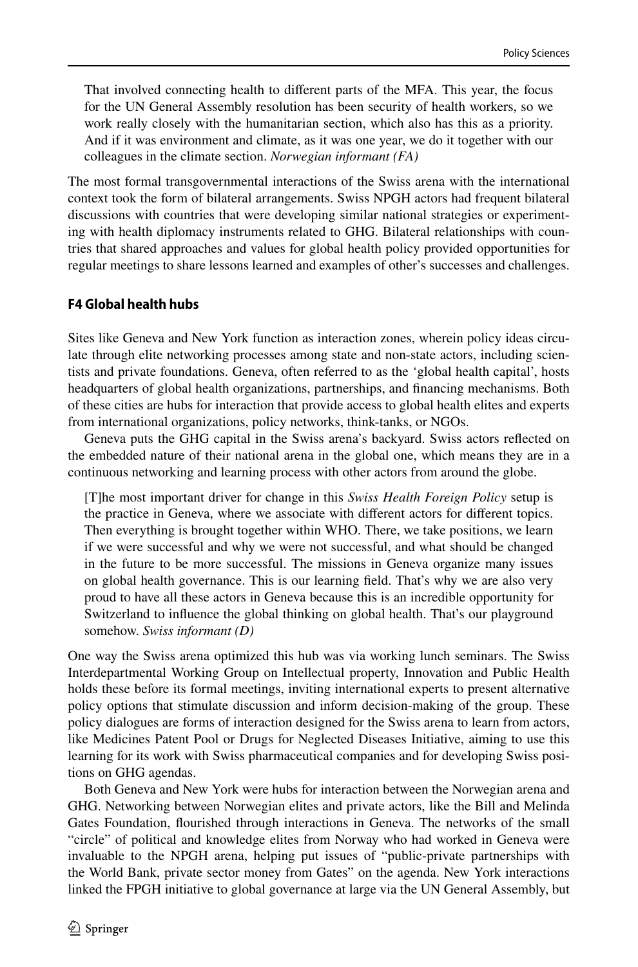That involved connecting health to diferent parts of the MFA. This year, the focus for the UN General Assembly resolution has been security of health workers, so we work really closely with the humanitarian section, which also has this as a priority. And if it was environment and climate, as it was one year, we do it together with our colleagues in the climate section. *Norwegian informant (FA)*

The most formal transgovernmental interactions of the Swiss arena with the international context took the form of bilateral arrangements. Swiss NPGH actors had frequent bilateral discussions with countries that were developing similar national strategies or experimenting with health diplomacy instruments related to GHG. Bilateral relationships with countries that shared approaches and values for global health policy provided opportunities for regular meetings to share lessons learned and examples of other's successes and challenges.

#### **F4 Global health hubs**

Sites like Geneva and New York function as interaction zones, wherein policy ideas circulate through elite networking processes among state and non-state actors, including scientists and private foundations. Geneva, often referred to as the 'global health capital', hosts headquarters of global health organizations, partnerships, and fnancing mechanisms. Both of these cities are hubs for interaction that provide access to global health elites and experts from international organizations, policy networks, think-tanks, or NGOs.

Geneva puts the GHG capital in the Swiss arena's backyard. Swiss actors refected on the embedded nature of their national arena in the global one, which means they are in a continuous networking and learning process with other actors from around the globe.

[T]he most important driver for change in this *Swiss Health Foreign Policy* setup is the practice in Geneva, where we associate with diferent actors for diferent topics. Then everything is brought together within WHO. There, we take positions, we learn if we were successful and why we were not successful, and what should be changed in the future to be more successful. The missions in Geneva organize many issues on global health governance. This is our learning feld. That's why we are also very proud to have all these actors in Geneva because this is an incredible opportunity for Switzerland to infuence the global thinking on global health. That's our playground somehow. *Swiss informant (D)*

One way the Swiss arena optimized this hub was via working lunch seminars. The Swiss Interdepartmental Working Group on Intellectual property, Innovation and Public Health holds these before its formal meetings, inviting international experts to present alternative policy options that stimulate discussion and inform decision-making of the group. These policy dialogues are forms of interaction designed for the Swiss arena to learn from actors, like Medicines Patent Pool or Drugs for Neglected Diseases Initiative, aiming to use this learning for its work with Swiss pharmaceutical companies and for developing Swiss positions on GHG agendas.

Both Geneva and New York were hubs for interaction between the Norwegian arena and GHG. Networking between Norwegian elites and private actors, like the Bill and Melinda Gates Foundation, fourished through interactions in Geneva. The networks of the small "circle" of political and knowledge elites from Norway who had worked in Geneva were invaluable to the NPGH arena, helping put issues of "public-private partnerships with the World Bank, private sector money from Gates" on the agenda. New York interactions linked the FPGH initiative to global governance at large via the UN General Assembly, but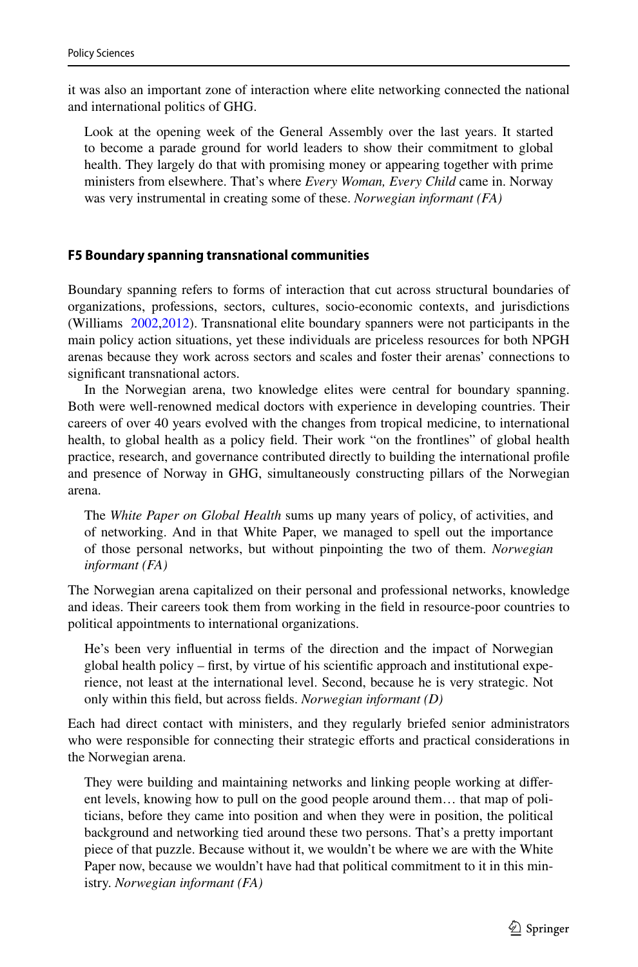it was also an important zone of interaction where elite networking connected the national and international politics of GHG.

Look at the opening week of the General Assembly over the last years. It started to become a parade ground for world leaders to show their commitment to global health. They largely do that with promising money or appearing together with prime ministers from elsewhere. That's where *Every Woman, Every Child* came in. Norway was very instrumental in creating some of these. *Norwegian informant (FA)*

#### **F5 Boundary spanning transnational communities**

Boundary spanning refers to forms of interaction that cut across structural boundaries of organizations, professions, sectors, cultures, socio-economic contexts, and jurisdictions (Williams [2002](#page-18-12),[2012\)](#page-18-13). Transnational elite boundary spanners were not participants in the main policy action situations, yet these individuals are priceless resources for both NPGH arenas because they work across sectors and scales and foster their arenas' connections to signifcant transnational actors.

In the Norwegian arena, two knowledge elites were central for boundary spanning. Both were well-renowned medical doctors with experience in developing countries. Their careers of over 40 years evolved with the changes from tropical medicine, to international health, to global health as a policy feld. Their work "on the frontlines" of global health practice, research, and governance contributed directly to building the international profle and presence of Norway in GHG, simultaneously constructing pillars of the Norwegian arena.

The *White Paper on Global Health* sums up many years of policy, of activities, and of networking. And in that White Paper, we managed to spell out the importance of those personal networks, but without pinpointing the two of them. *Norwegian informant (FA)*

The Norwegian arena capitalized on their personal and professional networks, knowledge and ideas. Their careers took them from working in the feld in resource-poor countries to political appointments to international organizations.

He's been very infuential in terms of the direction and the impact of Norwegian global health policy – first, by virtue of his scientific approach and institutional experience, not least at the international level. Second, because he is very strategic. Not only within this feld, but across felds. *Norwegian informant (D)*

Each had direct contact with ministers, and they regularly briefed senior administrators who were responsible for connecting their strategic efforts and practical considerations in the Norwegian arena.

They were building and maintaining networks and linking people working at diferent levels, knowing how to pull on the good people around them… that map of politicians, before they came into position and when they were in position, the political background and networking tied around these two persons. That's a pretty important piece of that puzzle. Because without it, we wouldn't be where we are with the White Paper now, because we wouldn't have had that political commitment to it in this ministry. *Norwegian informant (FA)*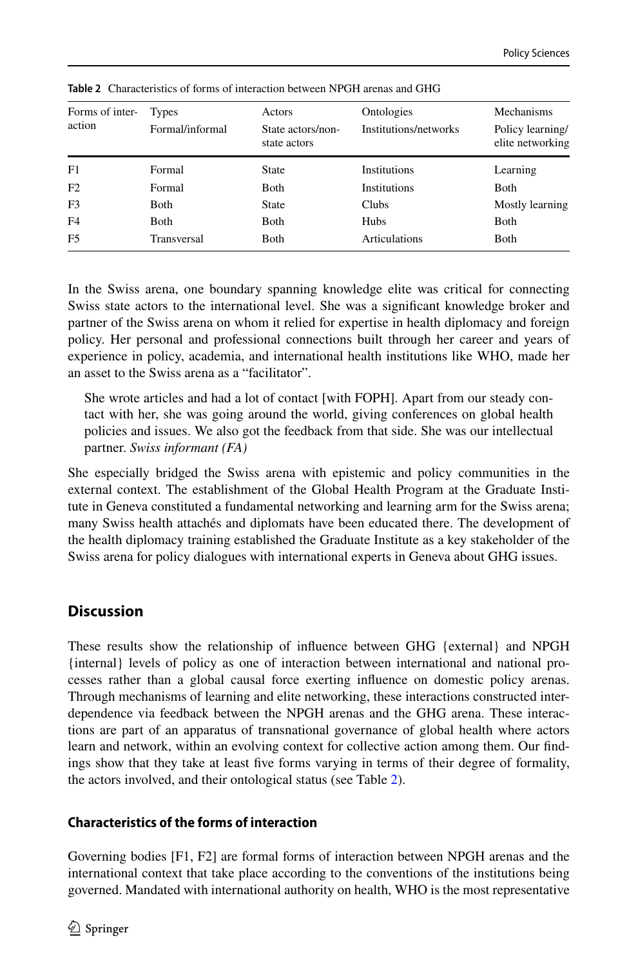| Forms of inter-<br>action | Types<br>Formal/informal | Actors<br>State actors/non-<br>state actors | Ontologies<br>Institutions/networks | Mechanisms<br>Policy learning/<br>elite networking |
|---------------------------|--------------------------|---------------------------------------------|-------------------------------------|----------------------------------------------------|
| F1                        | Formal                   | State                                       | <b>Institutions</b>                 | Learning                                           |
| F2                        | Formal                   | <b>B</b> oth                                | <b>Institutions</b>                 | <b>Both</b>                                        |
| F3                        | <b>Both</b>              | State                                       | Clubs                               | Mostly learning                                    |
| F <sub>4</sub>            | <b>Both</b>              | <b>B</b> oth                                | Hubs                                | <b>B</b> oth                                       |
| F <sub>5</sub>            | Transversal              | Both                                        | <b>Articulations</b>                | Both                                               |

<span id="page-11-0"></span>**Table 2** Characteristics of forms of interaction between NPGH arenas and GHG

In the Swiss arena, one boundary spanning knowledge elite was critical for connecting Swiss state actors to the international level. She was a signifcant knowledge broker and partner of the Swiss arena on whom it relied for expertise in health diplomacy and foreign policy. Her personal and professional connections built through her career and years of experience in policy, academia, and international health institutions like WHO, made her an asset to the Swiss arena as a "facilitator".

She wrote articles and had a lot of contact [with FOPH]. Apart from our steady contact with her, she was going around the world, giving conferences on global health policies and issues. We also got the feedback from that side. She was our intellectual partner. *Swiss informant (FA)*

She especially bridged the Swiss arena with epistemic and policy communities in the external context. The establishment of the Global Health Program at the Graduate Institute in Geneva constituted a fundamental networking and learning arm for the Swiss arena; many Swiss health attachés and diplomats have been educated there. The development of the health diplomacy training established the Graduate Institute as a key stakeholder of the Swiss arena for policy dialogues with international experts in Geneva about GHG issues.

# **Discussion**

These results show the relationship of infuence between GHG {external} and NPGH {internal} levels of policy as one of interaction between international and national processes rather than a global causal force exerting infuence on domestic policy arenas. Through mechanisms of learning and elite networking, these interactions constructed interdependence via feedback between the NPGH arenas and the GHG arena. These interactions are part of an apparatus of transnational governance of global health where actors learn and network, within an evolving context for collective action among them. Our fndings show that they take at least fve forms varying in terms of their degree of formality, the actors involved, and their ontological status (see Table [2](#page-11-0)).

# **Characteristics of the forms of interaction**

Governing bodies [F1, F2] are formal forms of interaction between NPGH arenas and the international context that take place according to the conventions of the institutions being governed. Mandated with international authority on health, WHO is the most representative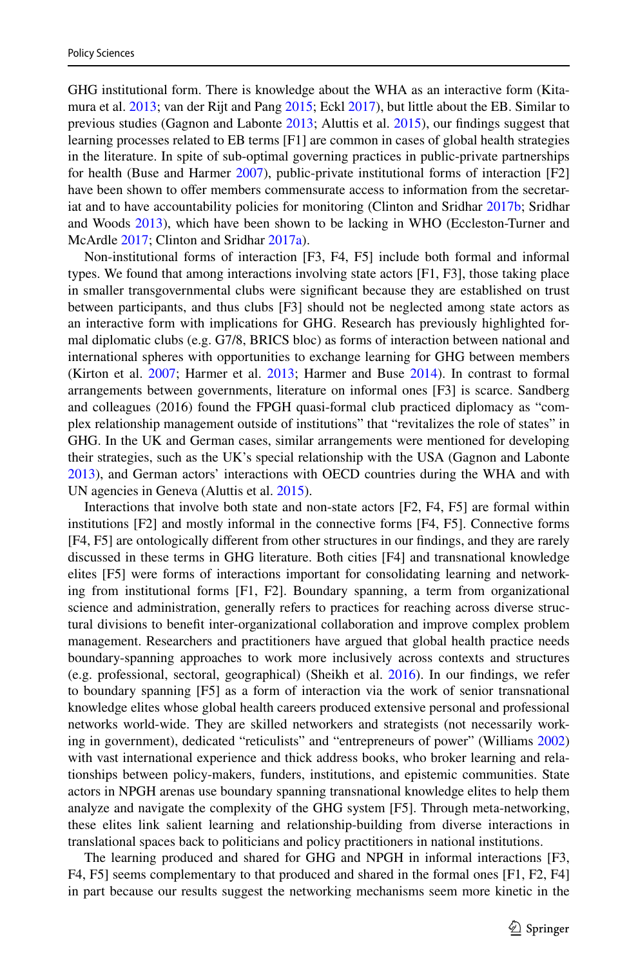GHG institutional form. There is knowledge about the WHA as an interactive form (Kitamura et al. [2013](#page-17-16); van der Rijt and Pang [2015;](#page-18-14) Eckl [2017\)](#page-16-14), but little about the EB. Similar to previous studies (Gagnon and Labonte [2013](#page-16-7); Aluttis et al. [2015](#page-15-0)), our fndings suggest that learning processes related to EB terms [F1] are common in cases of global health strategies in the literature. In spite of sub-optimal governing practices in public-private partnerships for health (Buse and Harmer [2007\)](#page-15-6), public-private institutional forms of interaction [F2] have been shown to offer members commensurate access to information from the secretariat and to have accountability policies for monitoring (Clinton and Sridhar [2017b](#page-16-15); Sridhar and Woods [2013](#page-18-15)), which have been shown to be lacking in WHO (Eccleston-Turner and McArdle [2017](#page-16-16); Clinton and Sridhar [2017a](#page-16-2)).

Non-institutional forms of interaction [F3, F4, F5] include both formal and informal types. We found that among interactions involving state actors [F1, F3], those taking place in smaller transgovernmental clubs were signifcant because they are established on trust between participants, and thus clubs [F3] should not be neglected among state actors as an interactive form with implications for GHG. Research has previously highlighted formal diplomatic clubs (e.g. G7/8, BRICS bloc) as forms of interaction between national and international spheres with opportunities to exchange learning for GHG between members (Kirton et al. [2007](#page-17-17); Harmer et al. [2013](#page-16-17); Harmer and Buse [2014\)](#page-16-18). In contrast to formal arrangements between governments, literature on informal ones [F3] is scarce. Sandberg and colleagues (2016) found the FPGH quasi-formal club practiced diplomacy as "complex relationship management outside of institutions" that "revitalizes the role of states" in GHG. In the UK and German cases, similar arrangements were mentioned for developing their strategies, such as the UK's special relationship with the USA (Gagnon and Labonte [2013\)](#page-16-7), and German actors' interactions with OECD countries during the WHA and with UN agencies in Geneva (Aluttis et al. [2015\)](#page-15-0).

Interactions that involve both state and non-state actors [F2, F4, F5] are formal within institutions [F2] and mostly informal in the connective forms [F4, F5]. Connective forms [F4, F5] are ontologically diferent from other structures in our fndings, and they are rarely discussed in these terms in GHG literature. Both cities [F4] and transnational knowledge elites [F5] were forms of interactions important for consolidating learning and networking from institutional forms [F1, F2]. Boundary spanning, a term from organizational science and administration, generally refers to practices for reaching across diverse structural divisions to beneft inter-organizational collaboration and improve complex problem management. Researchers and practitioners have argued that global health practice needs boundary-spanning approaches to work more inclusively across contexts and structures (e.g. professional, sectoral, geographical) (Sheikh et al. [2016\)](#page-18-16). In our fndings, we refer to boundary spanning [F5] as a form of interaction via the work of senior transnational knowledge elites whose global health careers produced extensive personal and professional networks world-wide. They are skilled networkers and strategists (not necessarily working in government), dedicated "reticulists" and "entrepreneurs of power" (Williams [2002](#page-18-12)) with vast international experience and thick address books, who broker learning and relationships between policy-makers, funders, institutions, and epistemic communities. State actors in NPGH arenas use boundary spanning transnational knowledge elites to help them analyze and navigate the complexity of the GHG system [F5]. Through meta-networking, these elites link salient learning and relationship-building from diverse interactions in translational spaces back to politicians and policy practitioners in national institutions.

The learning produced and shared for GHG and NPGH in informal interactions [F3, F4, F5] seems complementary to that produced and shared in the formal ones [F1, F2, F4] in part because our results suggest the networking mechanisms seem more kinetic in the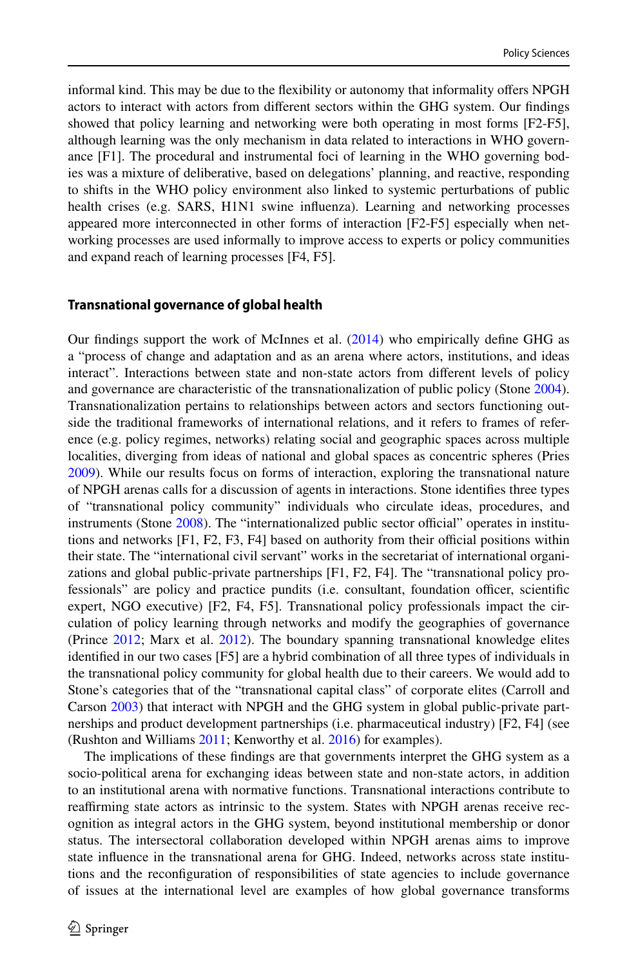informal kind. This may be due to the fexibility or autonomy that informality ofers NPGH actors to interact with actors from diferent sectors within the GHG system. Our fndings showed that policy learning and networking were both operating in most forms [F2-F5], although learning was the only mechanism in data related to interactions in WHO governance [F1]. The procedural and instrumental foci of learning in the WHO governing bodies was a mixture of deliberative, based on delegations' planning, and reactive, responding to shifts in the WHO policy environment also linked to systemic perturbations of public health crises (e.g. SARS, H1N1 swine infuenza). Learning and networking processes appeared more interconnected in other forms of interaction [F2-F5] especially when networking processes are used informally to improve access to experts or policy communities and expand reach of learning processes [F4, F5].

#### **Transnational governance of global health**

Our fndings support the work of McInnes et al. [\(2014](#page-17-18)) who empirically defne GHG as a "process of change and adaptation and as an arena where actors, institutions, and ideas interact". Interactions between state and non-state actors from diferent levels of policy and governance are characteristic of the transnationalization of public policy (Stone [2004](#page-18-17)). Transnationalization pertains to relationships between actors and sectors functioning outside the traditional frameworks of international relations, and it refers to frames of reference (e.g. policy regimes, networks) relating social and geographic spaces across multiple localities, diverging from ideas of national and global spaces as concentric spheres (Pries [2009\)](#page-18-18). While our results focus on forms of interaction, exploring the transnational nature of NPGH arenas calls for a discussion of agents in interactions. Stone identifes three types of "transnational policy community" individuals who circulate ideas, procedures, and instruments (Stone [2008](#page-18-19)). The "internationalized public sector official" operates in institutions and networks  $[F1, F2, F3, F4]$  based on authority from their official positions within their state. The "international civil servant" works in the secretariat of international organizations and global public-private partnerships [F1, F2, F4]. The "transnational policy professionals" are policy and practice pundits (i.e. consultant, foundation officer, scientific expert, NGO executive) [F2, F4, F5]. Transnational policy professionals impact the circulation of policy learning through networks and modify the geographies of governance (Prince [2012](#page-18-20); Marx et al. [2012\)](#page-17-19). The boundary spanning transnational knowledge elites identifed in our two cases [F5] are a hybrid combination of all three types of individuals in the transnational policy community for global health due to their careers. We would add to Stone's categories that of the "transnational capital class" of corporate elites (Carroll and Carson [2003](#page-16-19)) that interact with NPGH and the GHG system in global public-private partnerships and product development partnerships (i.e. pharmaceutical industry) [F2, F4] (see (Rushton and Williams [2011](#page-18-21); Kenworthy et al. [2016](#page-17-20)) for examples).

The implications of these fndings are that governments interpret the GHG system as a socio-political arena for exchanging ideas between state and non-state actors, in addition to an institutional arena with normative functions. Transnational interactions contribute to reafrming state actors as intrinsic to the system. States with NPGH arenas receive recognition as integral actors in the GHG system, beyond institutional membership or donor status. The intersectoral collaboration developed within NPGH arenas aims to improve state infuence in the transnational arena for GHG. Indeed, networks across state institutions and the reconfguration of responsibilities of state agencies to include governance of issues at the international level are examples of how global governance transforms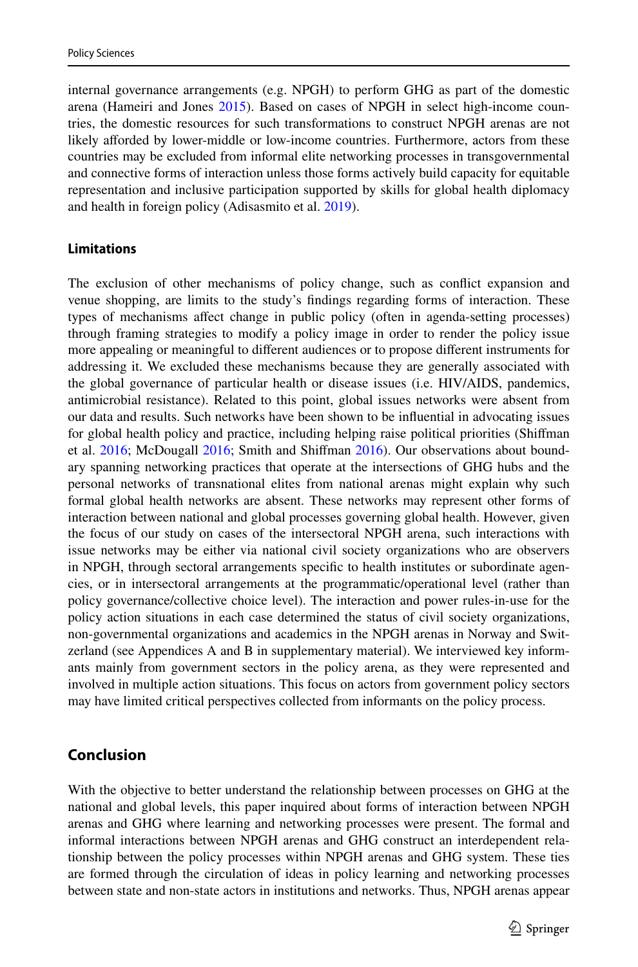internal governance arrangements (e.g. NPGH) to perform GHG as part of the domestic arena (Hameiri and Jones [2015\)](#page-16-20). Based on cases of NPGH in select high-income countries, the domestic resources for such transformations to construct NPGH arenas are not likely afforded by lower-middle or low-income countries. Furthermore, actors from these countries may be excluded from informal elite networking processes in transgovernmental and connective forms of interaction unless those forms actively build capacity for equitable representation and inclusive participation supported by skills for global health diplomacy and health in foreign policy (Adisasmito et al. [2019](#page-15-7)).

#### **Limitations**

The exclusion of other mechanisms of policy change, such as confict expansion and venue shopping, are limits to the study's fndings regarding forms of interaction. These types of mechanisms afect change in public policy (often in agenda-setting processes) through framing strategies to modify a policy image in order to render the policy issue more appealing or meaningful to diferent audiences or to propose diferent instruments for addressing it. We excluded these mechanisms because they are generally associated with the global governance of particular health or disease issues (i.e. HIV/AIDS, pandemics, antimicrobial resistance). Related to this point, global issues networks were absent from our data and results. Such networks have been shown to be infuential in advocating issues for global health policy and practice, including helping raise political priorities (Shifman et al. [2016;](#page-17-21) McDougall 2016; Smith and Shiffman [2016\)](#page-18-23). Our observations about boundary spanning networking practices that operate at the intersections of GHG hubs and the personal networks of transnational elites from national arenas might explain why such formal global health networks are absent. These networks may represent other forms of interaction between national and global processes governing global health. However, given the focus of our study on cases of the intersectoral NPGH arena, such interactions with issue networks may be either via national civil society organizations who are observers in NPGH, through sectoral arrangements specifc to health institutes or subordinate agencies, or in intersectoral arrangements at the programmatic/operational level (rather than policy governance/collective choice level). The interaction and power rules-in-use for the policy action situations in each case determined the status of civil society organizations, non-governmental organizations and academics in the NPGH arenas in Norway and Switzerland (see Appendices A and B in supplementary material). We interviewed key informants mainly from government sectors in the policy arena, as they were represented and involved in multiple action situations. This focus on actors from government policy sectors may have limited critical perspectives collected from informants on the policy process.

## **Conclusion**

With the objective to better understand the relationship between processes on GHG at the national and global levels, this paper inquired about forms of interaction between NPGH arenas and GHG where learning and networking processes were present. The formal and informal interactions between NPGH arenas and GHG construct an interdependent relationship between the policy processes within NPGH arenas and GHG system. These ties are formed through the circulation of ideas in policy learning and networking processes between state and non-state actors in institutions and networks. Thus, NPGH arenas appear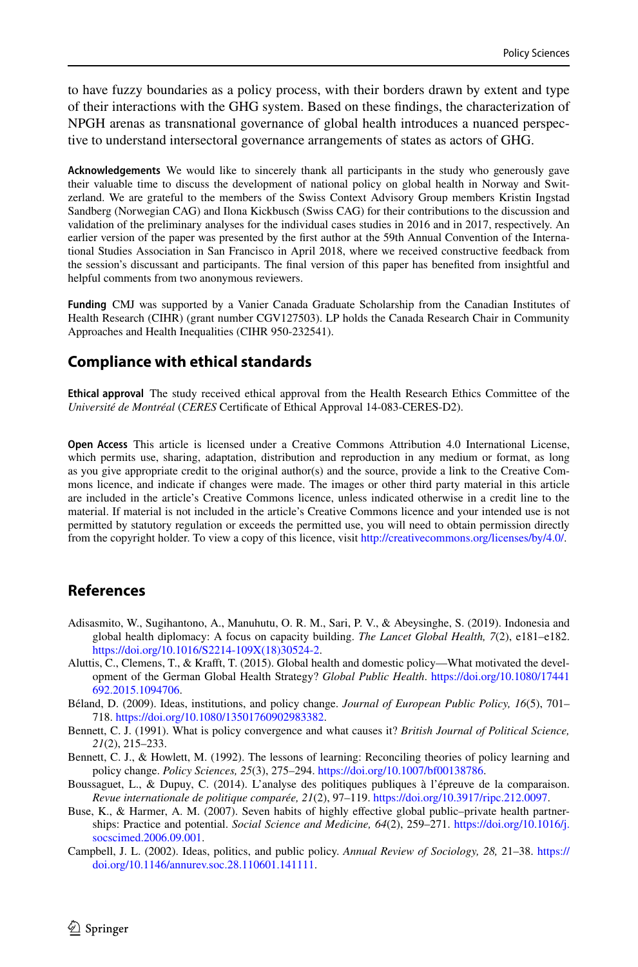to have fuzzy boundaries as a policy process, with their borders drawn by extent and type of their interactions with the GHG system. Based on these fndings, the characterization of NPGH arenas as transnational governance of global health introduces a nuanced perspective to understand intersectoral governance arrangements of states as actors of GHG.

**Acknowledgements** We would like to sincerely thank all participants in the study who generously gave their valuable time to discuss the development of national policy on global health in Norway and Switzerland. We are grateful to the members of the Swiss Context Advisory Group members Kristin Ingstad Sandberg (Norwegian CAG) and Ilona Kickbusch (Swiss CAG) for their contributions to the discussion and validation of the preliminary analyses for the individual cases studies in 2016 and in 2017, respectively. An earlier version of the paper was presented by the frst author at the 59th Annual Convention of the International Studies Association in San Francisco in April 2018, where we received constructive feedback from the session's discussant and participants. The fnal version of this paper has benefted from insightful and helpful comments from two anonymous reviewers.

**Funding** CMJ was supported by a Vanier Canada Graduate Scholarship from the Canadian Institutes of Health Research (CIHR) (grant number CGV127503). LP holds the Canada Research Chair in Community Approaches and Health Inequalities (CIHR 950-232541).

## **Compliance with ethical standards**

**Ethical approval** The study received ethical approval from the Health Research Ethics Committee of the *Université de Montréal* (*CERES* Certifcate of Ethical Approval 14-083-CERES-D2).

**Open Access** This article is licensed under a Creative Commons Attribution 4.0 International License, which permits use, sharing, adaptation, distribution and reproduction in any medium or format, as long as you give appropriate credit to the original author(s) and the source, provide a link to the Creative Commons licence, and indicate if changes were made. The images or other third party material in this article are included in the article's Creative Commons licence, unless indicated otherwise in a credit line to the material. If material is not included in the article's Creative Commons licence and your intended use is not permitted by statutory regulation or exceeds the permitted use, you will need to obtain permission directly from the copyright holder. To view a copy of this licence, visit [http://creativecommons.org/licenses/by/4.0/.](http://creativecommons.org/licenses/by/4.0/)

## **References**

- <span id="page-15-7"></span>Adisasmito, W., Sugihantono, A., Manuhutu, O. R. M., Sari, P. V., & Abeysinghe, S. (2019). Indonesia and global health diplomacy: A focus on capacity building. *The Lancet Global Health, 7*(2), e181–e182. [https://doi.org/10.1016/S2214-109X\(18\)30524-2](https://doi.org/10.1016/S2214-109X(18)30524-2).
- <span id="page-15-0"></span>Aluttis, C., Clemens, T., & Kraft, T. (2015). Global health and domestic policy—What motivated the development of the German Global Health Strategy? *Global Public Health*. [https://doi.org/10.1080/17441](https://doi.org/10.1080/17441692.2015.1094706) [692.2015.1094706.](https://doi.org/10.1080/17441692.2015.1094706)
- <span id="page-15-2"></span>Béland, D. (2009). Ideas, institutions, and policy change. *Journal of European Public Policy, 16*(5), 701– 718. <https://doi.org/10.1080/13501760902983382>.
- <span id="page-15-4"></span>Bennett, C. J. (1991). What is policy convergence and what causes it? *British Journal of Political Science, 21*(2), 215–233.
- <span id="page-15-3"></span>Bennett, C. J., & Howlett, M. (1992). The lessons of learning: Reconciling theories of policy learning and policy change. *Policy Sciences, 25*(3), 275–294.<https://doi.org/10.1007/bf00138786>.
- <span id="page-15-5"></span>Boussaguet, L., & Dupuy, C. (2014). L'analyse des politiques publiques à l'épreuve de la comparaison. *Revue internationale de politique comparée, 21*(2), 97–119.<https://doi.org/10.3917/ripc.212.0097>.
- <span id="page-15-6"></span>Buse, K., & Harmer, A. M. (2007). Seven habits of highly effective global public–private health partnerships: Practice and potential. *Social Science and Medicine, 64*(2), 259–271. [https://doi.org/10.1016/j.](https://doi.org/10.1016/j.socscimed.2006.09.001) [socscimed.2006.09.001](https://doi.org/10.1016/j.socscimed.2006.09.001).
- <span id="page-15-1"></span>Campbell, J. L. (2002). Ideas, politics, and public policy. *Annual Review of Sociology, 28,* 21–38. [https://](https://doi.org/10.1146/annurev.soc.28.110601.141111) [doi.org/10.1146/annurev.soc.28.110601.141111.](https://doi.org/10.1146/annurev.soc.28.110601.141111)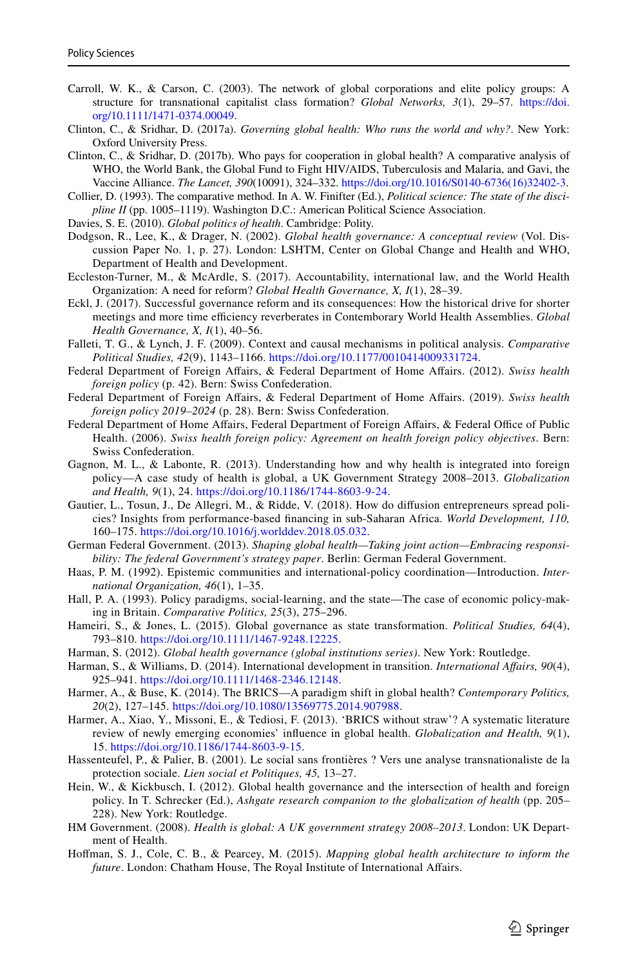- <span id="page-16-19"></span>Carroll, W. K., & Carson, C. (2003). The network of global corporations and elite policy groups: A structure for transnational capitalist class formation? *Global Networks, 3*(1), 29–57. [https://doi.](https://doi.org/10.1111/1471-0374.00049) [org/10.1111/1471-0374.00049](https://doi.org/10.1111/1471-0374.00049).
- <span id="page-16-2"></span>Clinton, C., & Sridhar, D. (2017a). *Governing global health: Who runs the world and why?*. New York: Oxford University Press.
- <span id="page-16-15"></span>Clinton, C., & Sridhar, D. (2017b). Who pays for cooperation in global health? A comparative analysis of WHO, the World Bank, the Global Fund to Fight HIV/AIDS, Tuberculosis and Malaria, and Gavi, the Vaccine Alliance. *The Lancet, 390*(10091), 324–332. [https://doi.org/10.1016/S0140-6736\(16\)32402-3.](https://doi.org/10.1016/S0140-6736(16)32402-3)
- <span id="page-16-12"></span>Collier, D. (1993). The comparative method. In A. W. Finifter (Ed.), *Political science: The state of the discipline II* (pp. 1005–1119). Washington D.C.: American Political Science Association.
- <span id="page-16-5"></span>Davies, S. E. (2010). *Global politics of health*. Cambridge: Polity.
- <span id="page-16-0"></span>Dodgson, R., Lee, K., & Drager, N. (2002). *Global health governance: A conceptual review* (Vol. Discussion Paper No. 1, p. 27). London: LSHTM, Center on Global Change and Health and WHO, Department of Health and Development.
- <span id="page-16-16"></span>Eccleston-Turner, M., & McArdle, S. (2017). Accountability, international law, and the World Health Organization: A need for reform? *Global Health Governance, X, I*(1), 28–39.
- <span id="page-16-14"></span>Eckl, J. (2017). Successful governance reform and its consequences: How the historical drive for shorter meetings and more time efficiency reverberates in Contemborary World Health Assemblies. *Global Health Governance, X, I*(1), 40–56.
- <span id="page-16-9"></span>Falleti, T. G., & Lynch, J. F. (2009). Context and causal mechanisms in political analysis. *Comparative Political Studies, 42*(9), 1143–1166.<https://doi.org/10.1177/0010414009331724>.
- Federal Department of Foreign Afairs, & Federal Department of Home Afairs. (2012). *Swiss health foreign policy* (p. 42). Bern: Swiss Confederation.
- Federal Department of Foreign Afairs, & Federal Department of Home Afairs. (2019). *Swiss health foreign policy 2019–2024* (p. 28). Bern: Swiss Confederation.
- Federal Department of Home Affairs, Federal Department of Foreign Affairs, & Federal Office of Public Health. (2006). *Swiss health foreign policy: Agreement on health foreign policy objectives*. Bern: Swiss Confederation.
- <span id="page-16-7"></span>Gagnon, M. L., & Labonte, R. (2013). Understanding how and why health is integrated into foreign policy—A case study of health is global, a UK Government Strategy 2008–2013. *Globalization and Health, 9*(1), 24.<https://doi.org/10.1186/1744-8603-9-24>.
- <span id="page-16-8"></span>Gautier, L., Tosun, J., De Allegri, M., & Ridde, V. (2018). How do difusion entrepreneurs spread policies? Insights from performance-based fnancing in sub-Saharan Africa. *World Development, 110,* 160–175. [https://doi.org/10.1016/j.worlddev.2018.05.032.](https://doi.org/10.1016/j.worlddev.2018.05.032)
- German Federal Government. (2013). *Shaping global health—Taking joint action—Embracing responsibility: The federal Government's strategy paper*. Berlin: German Federal Government.
- <span id="page-16-11"></span>Haas, P. M. (1992). Epistemic communities and international-policy coordination—Introduction. *International Organization, 46*(1), 1–35.
- <span id="page-16-10"></span>Hall, P. A. (1993). Policy paradigms, social-learning, and the state—The case of economic policy-making in Britain. *Comparative Politics, 25*(3), 275–296.
- <span id="page-16-20"></span>Hameiri, S., & Jones, L. (2015). Global governance as state transformation. *Political Studies, 64*(4), 793–810. <https://doi.org/10.1111/1467-9248.12225>.
- <span id="page-16-1"></span>Harman, S. (2012). *Global health governance (global institutions series)*. New York: Routledge.
- <span id="page-16-4"></span>Harman, S., & Williams, D. (2014). International development in transition. *International Afairs, 90*(4), 925–941. <https://doi.org/10.1111/1468-2346.12148>.
- <span id="page-16-18"></span>Harmer, A., & Buse, K. (2014). The BRICS—A paradigm shift in global health? *Contemporary Politics, 20*(2), 127–145. <https://doi.org/10.1080/13569775.2014.907988>.
- <span id="page-16-17"></span>Harmer, A., Xiao, Y., Missoni, E., & Tediosi, F. (2013). 'BRICS without straw'? A systematic literature review of newly emerging economies' infuence in global health. *Globalization and Health, 9*(1), 15. [https://doi.org/10.1186/1744-8603-9-15.](https://doi.org/10.1186/1744-8603-9-15)
- <span id="page-16-13"></span>Hassenteufel, P., & Palier, B. (2001). Le social sans frontières ? Vers une analyse transnationaliste de la protection sociale. *Lien social et Politiques, 45,* 13–27.
- <span id="page-16-6"></span>Hein, W., & Kickbusch, I. (2012). Global health governance and the intersection of health and foreign policy. In T. Schrecker (Ed.), *Ashgate research companion to the globalization of health* (pp. 205– 228). New York: Routledge.
- HM Government. (2008). *Health is global: A UK government strategy 2008–2013*. London: UK Department of Health.
- <span id="page-16-3"></span>Hofman, S. J., Cole, C. B., & Pearcey, M. (2015). *Mapping global health architecture to inform the future*. London: Chatham House, The Royal Institute of International Afairs.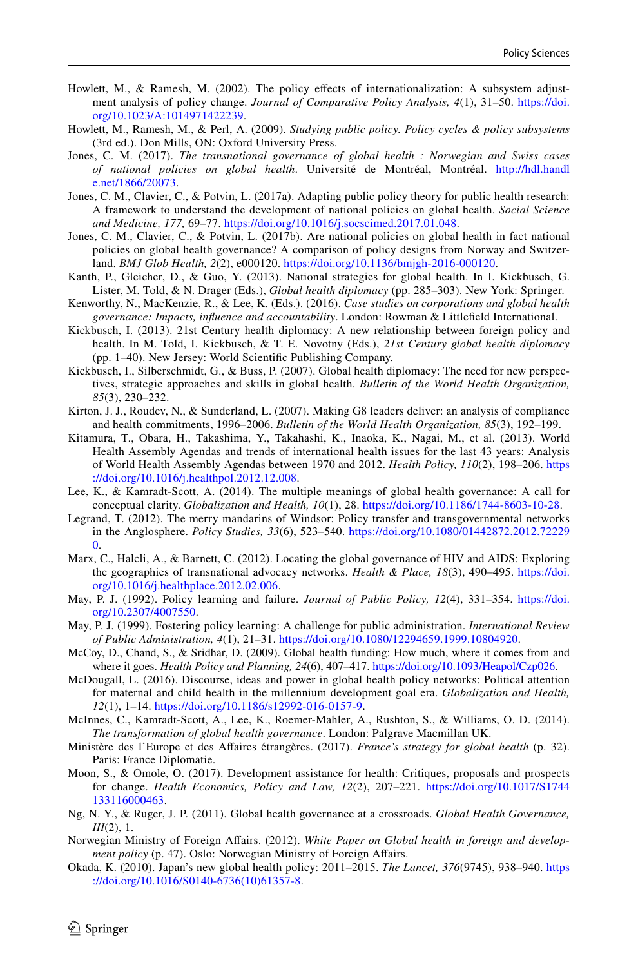- <span id="page-17-12"></span>Howlett, M., & Ramesh, M. (2002). The policy efects of internationalization: A subsystem adjustment analysis of policy change. *Journal of Comparative Policy Analysis, 4*(1), 31–50. [https://doi.](https://doi.org/10.1023/A:1014971422239) [org/10.1023/A:1014971422239.](https://doi.org/10.1023/A:1014971422239)
- <span id="page-17-13"></span>Howlett, M., Ramesh, M., & Perl, A. (2009). *Studying public policy. Policy cycles & policy subsystems* (3rd ed.). Don Mills, ON: Oxford University Press.
- <span id="page-17-15"></span>Jones, C. M. (2017). *The transnational governance of global health : Norwegian and Swiss cases of national policies on global health*. Université de Montréal, Montréal. [http://hdl.handl](http://hdl.handle.net/1866/20073) [e.net/1866/20073](http://hdl.handle.net/1866/20073).
- <span id="page-17-9"></span>Jones, C. M., Clavier, C., & Potvin, L. (2017a). Adapting public policy theory for public health research: A framework to understand the development of national policies on global health. *Social Science and Medicine, 177,* 69–77. [https://doi.org/10.1016/j.socscimed.2017.01.048.](https://doi.org/10.1016/j.socscimed.2017.01.048)
- <span id="page-17-8"></span>Jones, C. M., Clavier, C., & Potvin, L. (2017b). Are national policies on global health in fact national policies on global health governance? A comparison of policy designs from Norway and Switzerland. *BMJ Glob Health, 2*(2), e000120. <https://doi.org/10.1136/bmjgh-2016-000120>.
- <span id="page-17-6"></span>Kanth, P., Gleicher, D., & Guo, Y. (2013). National strategies for global health. In I. Kickbusch, G. Lister, M. Told, & N. Drager (Eds.), *Global health diplomacy* (pp. 285–303). New York: Springer.
- <span id="page-17-20"></span>Kenworthy, N., MacKenzie, R., & Lee, K. (Eds.). (2016). *Case studies on corporations and global health governance: Impacts, infuence and accountability*. London: Rowman & Littlefeld International.
- <span id="page-17-7"></span>Kickbusch, I. (2013). 21st Century health diplomacy: A new relationship between foreign policy and health. In M. Told, I. Kickbusch, & T. E. Novotny (Eds.), *21st Century global health diplomacy* (pp. 1–40). New Jersey: World Scientifc Publishing Company.
- <span id="page-17-4"></span>Kickbusch, I., Silberschmidt, G., & Buss, P. (2007). Global health diplomacy: The need for new perspectives, strategic approaches and skills in global health. *Bulletin of the World Health Organization, 85*(3), 230–232.
- <span id="page-17-17"></span>Kirton, J. J., Roudev, N., & Sunderland, L. (2007). Making G8 leaders deliver: an analysis of compliance and health commitments, 1996–2006. *Bulletin of the World Health Organization, 85*(3), 192–199.
- <span id="page-17-16"></span>Kitamura, T., Obara, H., Takashima, Y., Takahashi, K., Inaoka, K., Nagai, M., et al. (2013). World Health Assembly Agendas and trends of international health issues for the last 43 years: Analysis of World Health Assembly Agendas between 1970 and 2012. *Health Policy, 110*(2), 198–206. [https](https://doi.org/10.1016/j.healthpol.2012.12.008) [://doi.org/10.1016/j.healthpol.2012.12.008](https://doi.org/10.1016/j.healthpol.2012.12.008).
- <span id="page-17-0"></span>Lee, K., & Kamradt-Scott, A. (2014). The multiple meanings of global health governance: A call for conceptual clarity. *Globalization and Health, 10*(1), 28. [https://doi.org/10.1186/1744-8603-10-28.](https://doi.org/10.1186/1744-8603-10-28)
- <span id="page-17-14"></span>Legrand, T. (2012). The merry mandarins of Windsor: Policy transfer and transgovernmental networks in the Anglosphere. *Policy Studies, 33*(6), 523–540. [https://doi.org/10.1080/01442872.2012.72229](https://doi.org/10.1080/01442872.2012.722290) [0.](https://doi.org/10.1080/01442872.2012.722290)
- <span id="page-17-19"></span>Marx, C., Halcli, A., & Barnett, C. (2012). Locating the global governance of HIV and AIDS: Exploring the geographies of transnational advocacy networks. *Health & Place, 18*(3), 490–495. [https://doi.](https://doi.org/10.1016/j.healthplace.2012.02.006) [org/10.1016/j.healthplace.2012.02.006.](https://doi.org/10.1016/j.healthplace.2012.02.006)
- <span id="page-17-10"></span>May, P. J. (1992). Policy learning and failure. *Journal of Public Policy, 12*(4), 331–354. [https://doi.](https://doi.org/10.2307/4007550) [org/10.2307/4007550.](https://doi.org/10.2307/4007550)
- <span id="page-17-11"></span>May, P. J. (1999). Fostering policy learning: A challenge for public administration. *International Review of Public Administration, 4*(1), 21–31. [https://doi.org/10.1080/12294659.1999.10804920.](https://doi.org/10.1080/12294659.1999.10804920)
- <span id="page-17-2"></span>McCoy, D., Chand, S., & Sridhar, D. (2009). Global health funding: How much, where it comes from and where it goes. *Health Policy and Planning, 24*(6), 407–417. [https://doi.org/10.1093/Heapol/Czp026.](https://doi.org/10.1093/Heapol/Czp026)
- <span id="page-17-21"></span>McDougall, L. (2016). Discourse, ideas and power in global health policy networks: Political attention for maternal and child health in the millennium development goal era. *Globalization and Health, 12*(1), 1–14. [https://doi.org/10.1186/s12992-016-0157-9.](https://doi.org/10.1186/s12992-016-0157-9)
- <span id="page-17-18"></span>McInnes, C., Kamradt-Scott, A., Lee, K., Roemer-Mahler, A., Rushton, S., & Williams, O. D. (2014). *The transformation of global health governance*. London: Palgrave Macmillan UK.
- Ministère des l'Europe et des Afaires étrangères. (2017). *France's strategy for global health* (p. 32). Paris: France Diplomatie.
- <span id="page-17-3"></span>Moon, S., & Omole, O. (2017). Development assistance for health: Critiques, proposals and prospects for change. *Health Economics, Policy and Law, 12*(2), 207–221. [https://doi.org/10.1017/S1744](https://doi.org/10.1017/S1744133116000463) [133116000463](https://doi.org/10.1017/S1744133116000463).
- <span id="page-17-1"></span>Ng, N. Y., & Ruger, J. P. (2011). Global health governance at a crossroads. *Global Health Governance, III*(2), 1.
- Norwegian Ministry of Foreign Afairs. (2012). *White Paper on Global health in foreign and development policy* (p. 47). Oslo: Norwegian Ministry of Foreign Affairs.
- <span id="page-17-5"></span>Okada, K. (2010). Japan's new global health policy: 2011–2015. *The Lancet, 376*(9745), 938–940. [https](https://doi.org/10.1016/S0140-6736(10)61357-8) [://doi.org/10.1016/S0140-6736\(10\)61357-8](https://doi.org/10.1016/S0140-6736(10)61357-8).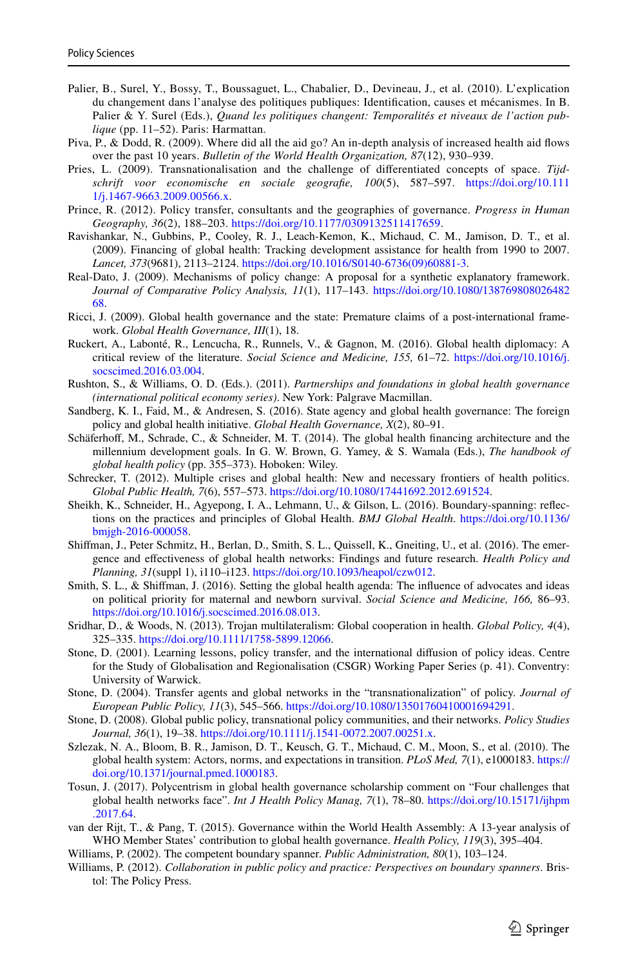- <span id="page-18-11"></span>Palier, B., Surel, Y., Bossy, T., Boussaguet, L., Chabalier, D., Devineau, J., et al. (2010). L'explication du changement dans l'analyse des politiques publiques: Identifcation, causes et mécanismes. In B. Palier & Y. Surel (Eds.), *Quand les politiques changent: Temporalités et niveaux de l'action publique* (pp. 11–52). Paris: Harmattan.
- <span id="page-18-2"></span>Piva, P., & Dodd, R. (2009). Where did all the aid go? An in-depth analysis of increased health aid fows over the past 10 years. *Bulletin of the World Health Organization, 87*(12), 930–939.
- <span id="page-18-18"></span>Pries, L. (2009). Transnationalisation and the challenge of diferentiated concepts of space. *Tijdschrift voor economische en sociale geografe, 100*(5), 587–597. [https://doi.org/10.111](https://doi.org/10.1111/j.1467-9663.2009.00566.x) [1/j.1467-9663.2009.00566.x.](https://doi.org/10.1111/j.1467-9663.2009.00566.x)
- <span id="page-18-20"></span>Prince, R. (2012). Policy transfer, consultants and the geographies of governance. *Progress in Human Geography, 36*(2), 188–203. [https://doi.org/10.1177/0309132511417659.](https://doi.org/10.1177/0309132511417659)
- <span id="page-18-3"></span>Ravishankar, N., Gubbins, P., Cooley, R. J., Leach-Kemon, K., Michaud, C. M., Jamison, D. T., et al. (2009). Financing of global health: Tracking development assistance for health from 1990 to 2007. *Lancet, 373*(9681), 2113–2124. [https://doi.org/10.1016/S0140-6736\(09\)60881-3](https://doi.org/10.1016/S0140-6736(09)60881-3).
- <span id="page-18-9"></span>Real-Dato, J. (2009). Mechanisms of policy change: A proposal for a synthetic explanatory framework. *Journal of Comparative Policy Analysis, 11*(1), 117–143. [https://doi.org/10.1080/138769808026482](https://doi.org/10.1080/13876980802648268) [68.](https://doi.org/10.1080/13876980802648268)
- <span id="page-18-1"></span>Ricci, J. (2009). Global health governance and the state: Premature claims of a post-international framework. *Global Health Governance, III*(1), 18.
- <span id="page-18-7"></span>Ruckert, A., Labonté, R., Lencucha, R., Runnels, V., & Gagnon, M. (2016). Global health diplomacy: A critical review of the literature. *Social Science and Medicine, 155,* 61–72. [https://doi.org/10.1016/j.](https://doi.org/10.1016/j.socscimed.2016.03.004) [socscimed.2016.03.004](https://doi.org/10.1016/j.socscimed.2016.03.004).
- <span id="page-18-21"></span>Rushton, S., & Williams, O. D. (Eds.). (2011). *Partnerships and foundations in global health governance (international political economy series)*. New York: Palgrave Macmillan.
- <span id="page-18-6"></span>Sandberg, K. I., Faid, M., & Andresen, S. (2016). State agency and global health governance: The foreign policy and global health initiative. *Global Health Governance, X*(2), 80–91.
- <span id="page-18-4"></span>Schäferhoff, M., Schrade, C., & Schneider, M. T. (2014). The global health financing architecture and the millennium development goals. In G. W. Brown, G. Yamey, & S. Wamala (Eds.), *The handbook of global health policy* (pp. 355–373). Hoboken: Wiley.
- <span id="page-18-5"></span>Schrecker, T. (2012). Multiple crises and global health: New and necessary frontiers of health politics. *Global Public Health, 7*(6), 557–573. <https://doi.org/10.1080/17441692.2012.691524>.
- <span id="page-18-16"></span>Sheikh, K., Schneider, H., Agyepong, I. A., Lehmann, U., & Gilson, L. (2016). Boundary-spanning: refections on the practices and principles of Global Health. *BMJ Global Health*. [https://doi.org/10.1136/](https://doi.org/10.1136/bmjgh-2016-000058) [bmjgh-2016-000058.](https://doi.org/10.1136/bmjgh-2016-000058)
- <span id="page-18-22"></span>Shifman, J., Peter Schmitz, H., Berlan, D., Smith, S. L., Quissell, K., Gneiting, U., et al. (2016). The emergence and efectiveness of global health networks: Findings and future research. *Health Policy and Planning, 31*(suppl 1), i110–i123.<https://doi.org/10.1093/heapol/czw012>.
- <span id="page-18-23"></span>Smith, S. L., & Shifman, J. (2016). Setting the global health agenda: The infuence of advocates and ideas on political priority for maternal and newborn survival. *Social Science and Medicine, 166,* 86–93. [https://doi.org/10.1016/j.socscimed.2016.08.013.](https://doi.org/10.1016/j.socscimed.2016.08.013)
- <span id="page-18-15"></span>Sridhar, D., & Woods, N. (2013). Trojan multilateralism: Global cooperation in health. *Global Policy, 4*(4), 325–335. [https://doi.org/10.1111/1758-5899.12066.](https://doi.org/10.1111/1758-5899.12066)
- <span id="page-18-10"></span>Stone, D. (2001). Learning lessons, policy transfer, and the international difusion of policy ideas. Centre for the Study of Globalisation and Regionalisation (CSGR) Working Paper Series (p. 41). Conventry: University of Warwick.
- <span id="page-18-17"></span>Stone, D. (2004). Transfer agents and global networks in the "transnationalization" of policy. *Journal of European Public Policy, 11*(3), 545–566. [https://doi.org/10.1080/13501760410001694291.](https://doi.org/10.1080/13501760410001694291)
- <span id="page-18-19"></span>Stone, D. (2008). Global public policy, transnational policy communities, and their networks. *Policy Studies Journal, 36*(1), 19–38.<https://doi.org/10.1111/j.1541-0072.2007.00251.x>.
- <span id="page-18-0"></span>Szlezak, N. A., Bloom, B. R., Jamison, D. T., Keusch, G. T., Michaud, C. M., Moon, S., et al. (2010). The global health system: Actors, norms, and expectations in transition. *PLoS Med, 7*(1), e1000183. [https://](https://doi.org/10.1371/journal.pmed.1000183) [doi.org/10.1371/journal.pmed.1000183.](https://doi.org/10.1371/journal.pmed.1000183)
- <span id="page-18-8"></span>Tosun, J. (2017). Polycentrism in global health governance scholarship comment on "Four challenges that global health networks face". *Int J Health Policy Manag, 7*(1), 78–80. [https://doi.org/10.15171/ijhpm](https://doi.org/10.15171/ijhpm.2017.64) [.2017.64.](https://doi.org/10.15171/ijhpm.2017.64)
- <span id="page-18-14"></span>van der Rijt, T., & Pang, T. (2015). Governance within the World Health Assembly: A 13-year analysis of WHO Member States' contribution to global health governance. *Health Policy, 119*(3), 395–404.
- <span id="page-18-12"></span>Williams, P. (2002). The competent boundary spanner. *Public Administration, 80*(1), 103–124.
- <span id="page-18-13"></span>Williams, P. (2012). *Collaboration in public policy and practice: Perspectives on boundary spanners*. Bristol: The Policy Press.